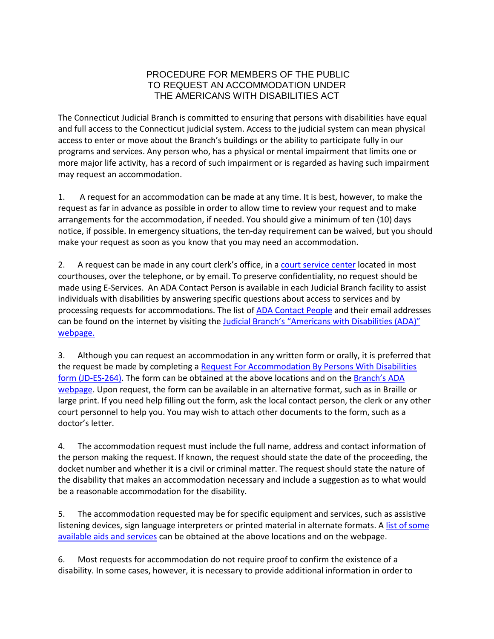## PROCEDURE FOR MEMBERS OF THE PUBLIC TO REQUEST AN ACCOMMODATION UNDER THE AMERICANS WITH DISABILITIES ACT

The Connecticut Judicial Branch is committed to ensuring that persons with disabilities have equal and full access to the Connecticut judicial system. Access to the judicial system can mean physical access to enter or move about the Branch's buildings or the ability to participate fully in our programs and services. Any person who, has a physical or mental impairment that limits one or more major life activity, has a record of such impairment or is regarded as having such impairment may request an accommodation.

1. A request for an accommodation can be made at any time. It is best, however, to make the request as far in advance as possible in order to allow time to review your request and to make arrangements for the accommodation, if needed. You should give a minimum of ten (10) days notice, if possible. In emergency situations, the ten-day requirement can be waived, but you should make your request as soon as you know that you may need an accommodation.

2. A request can be made in any court clerk's office, in a [court service center](https://www.jud.ct.gov/csc/default.htm) located in most courthouses, over the telephone, or by email. To preserve confidentiality, no request should be made using E-Services. An ADA Contact Person is available in each Judicial Branch facility to assist individuals with disabilities by answering specific questions about access to services and by processing requests for accommodations. The list of [ADA Contact People](https://www.jud.ct.gov/ADA/towns.htm) and their email addresses can be found on the internet by visiting th[e Judicial Branch's "Americans with Disabilities \(ADA\)"](https://www.jud.ct.gov/ADA/default.htm)  [webpage.](https://www.jud.ct.gov/ADA/default.htm)

3. Although you can request an accommodation in any written form or orally, it is preferred that the request be made by completing a [Request For Accommodation By Persons With Disabilities](https://www.jud.ct.gov/webforms/forms/es264.pdf) [form \(JD-ES-264\).](https://www.jud.ct.gov/webforms/forms/es264.pdf) The form can be obtained at the above locations and on the [Branch's ADA](http://www.jud.ct.gov/ADA/default.htm)  [webpage.](http://www.jud.ct.gov/ADA/default.htm) Upon request, the form can be available in an alternative format, such as in Braille or large print. If you need help filling out the form, ask the local contact person, the clerk or any other court personnel to help you. You may wish to attach other documents to the form, such as a doctor's letter.

4. The accommodation request must include the full name, address and contact information of the person making the request. If known, the request should state the date of the proceeding, the docket number and whether it is a civil or criminal matter. The request should state the nature of the disability that makes an accommodation necessary and include a suggestion as to what would be a reasonable accommodation for the disability.

5. The accommodation requested may be for specific equipment and services, such as assistive listening devices, sign language interpreters or printed material in alternate formats. A [list of some](https://www.jud.ct.gov/ADA/equipment.htm) [available aids and services](https://www.jud.ct.gov/ADA/equipment.htm) can be obtained at the above locations and on the webpage.

6. Most requests for accommodation do not require proof to confirm the existence of a disability. In some cases, however, it is necessary to provide additional information in order to